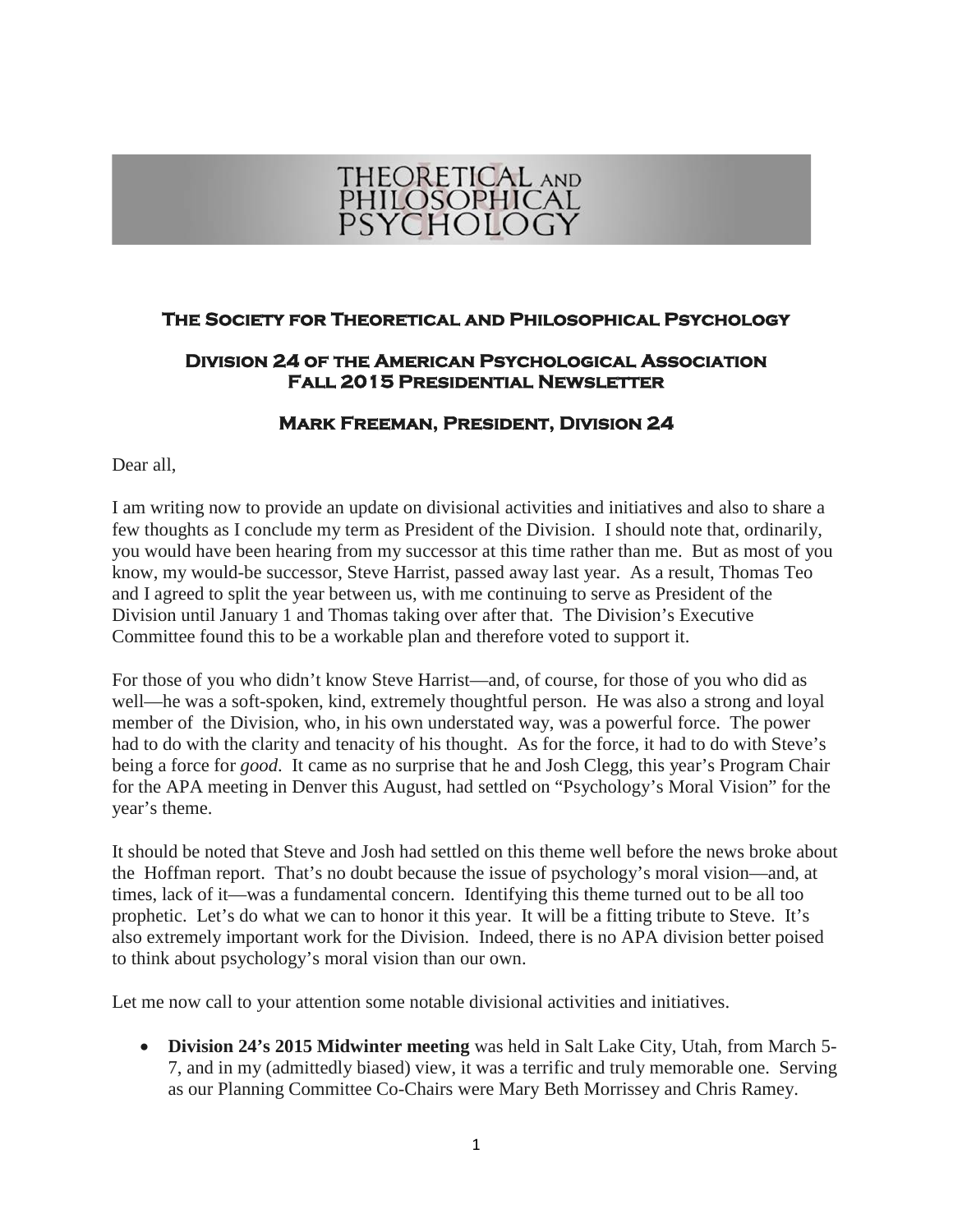

## **The Society for Theoretical and Philosophical Psychology**

## **Division 24 of the American Psychological Association Fall 2015 Presidential Newsletter**

## **Mark Freeman, President, Division 24**

Dear all,

I am writing now to provide an update on divisional activities and initiatives and also to share a few thoughts as I conclude my term as President of the Division. I should note that, ordinarily, you would have been hearing from my successor at this time rather than me. But as most of you know, my would-be successor, Steve Harrist, passed away last year. As a result, Thomas Teo and I agreed to split the year between us, with me continuing to serve as President of the Division until January 1 and Thomas taking over after that. The Division's Executive Committee found this to be a workable plan and therefore voted to support it.

For those of you who didn't know Steve Harrist—and, of course, for those of you who did as well—he was a soft-spoken, kind, extremely thoughtful person. He was also a strong and loyal member of the Division, who, in his own understated way, was a powerful force. The power had to do with the clarity and tenacity of his thought. As for the force, it had to do with Steve's being a force for *good*. It came as no surprise that he and Josh Clegg, this year's Program Chair for the APA meeting in Denver this August, had settled on "Psychology's Moral Vision" for the year's theme.

It should be noted that Steve and Josh had settled on this theme well before the news broke about the Hoffman report. That's no doubt because the issue of psychology's moral vision—and, at times, lack of it—was a fundamental concern. Identifying this theme turned out to be all too prophetic. Let's do what we can to honor it this year. It will be a fitting tribute to Steve. It's also extremely important work for the Division. Indeed, there is no APA division better poised to think about psychology's moral vision than our own.

Let me now call to your attention some notable divisional activities and initiatives.

• **Division 24's 2015 Midwinter meeting** was held in Salt Lake City, Utah, from March 5- 7, and in my (admittedly biased) view, it was a terrific and truly memorable one. Serving as our Planning Committee Co-Chairs were Mary Beth Morrissey and Chris Ramey.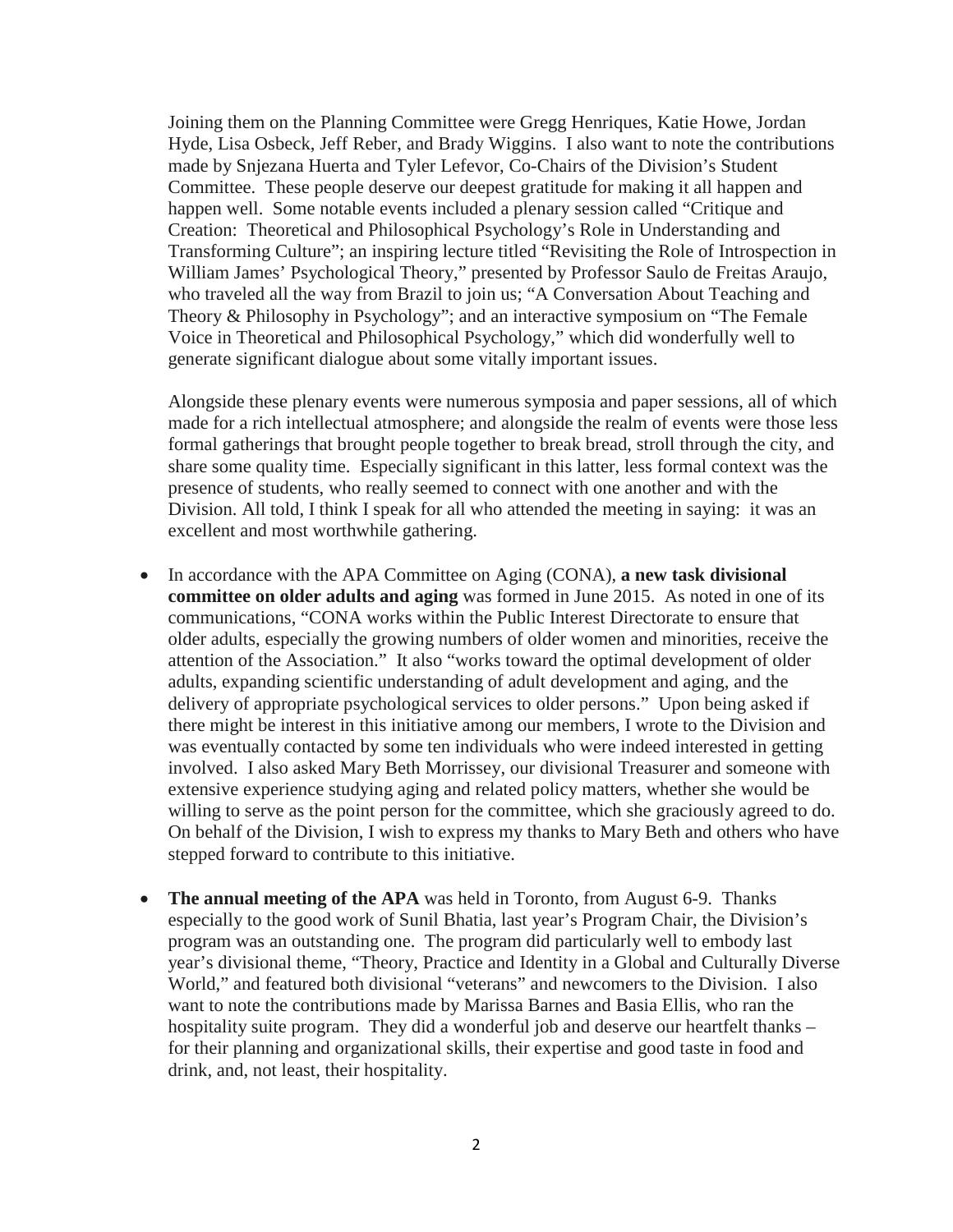Joining them on the Planning Committee were Gregg Henriques, Katie Howe, Jordan Hyde, Lisa Osbeck, Jeff Reber, and Brady Wiggins. I also want to note the contributions made by Snjezana Huerta and Tyler Lefevor, Co-Chairs of the Division's Student Committee. These people deserve our deepest gratitude for making it all happen and happen well. Some notable events included a plenary session called "Critique and Creation: Theoretical and Philosophical Psychology's Role in Understanding and Transforming Culture"; an inspiring lecture titled "Revisiting the Role of Introspection in William James' Psychological Theory," presented by Professor Saulo de Freitas Araujo, who traveled all the way from Brazil to join us; "A Conversation About Teaching and Theory & Philosophy in Psychology"; and an interactive symposium on "The Female Voice in Theoretical and Philosophical Psychology," which did wonderfully well to generate significant dialogue about some vitally important issues.

Alongside these plenary events were numerous symposia and paper sessions, all of which made for a rich intellectual atmosphere; and alongside the realm of events were those less formal gatherings that brought people together to break bread, stroll through the city, and share some quality time. Especially significant in this latter, less formal context was the presence of students, who really seemed to connect with one another and with the Division. All told, I think I speak for all who attended the meeting in saying: it was an excellent and most worthwhile gathering.

- In accordance with the APA Committee on Aging (CONA), **a new task divisional committee on older adults and aging** was formed in June 2015. As noted in one of its communications, "CONA works within the Public Interest Directorate to ensure that older adults, especially the growing numbers of older women and minorities, receive the attention of the Association." It also "works toward the optimal development of older adults, expanding scientific understanding of adult development and aging, and the delivery of appropriate psychological services to older persons." Upon being asked if there might be interest in this initiative among our members, I wrote to the Division and was eventually contacted by some ten individuals who were indeed interested in getting involved. I also asked Mary Beth Morrissey, our divisional Treasurer and someone with extensive experience studying aging and related policy matters, whether she would be willing to serve as the point person for the committee, which she graciously agreed to do. On behalf of the Division, I wish to express my thanks to Mary Beth and others who have stepped forward to contribute to this initiative.
- The annual meeting of the APA was held in Toronto, from August 6-9. Thanks especially to the good work of Sunil Bhatia, last year's Program Chair, the Division's program was an outstanding one. The program did particularly well to embody last year's divisional theme, "Theory, Practice and Identity in a Global and Culturally Diverse World," and featured both divisional "veterans" and newcomers to the Division. I also want to note the contributions made by Marissa Barnes and Basia Ellis, who ran the hospitality suite program. They did a wonderful job and deserve our heartfelt thanks – for their planning and organizational skills, their expertise and good taste in food and drink, and, not least, their hospitality.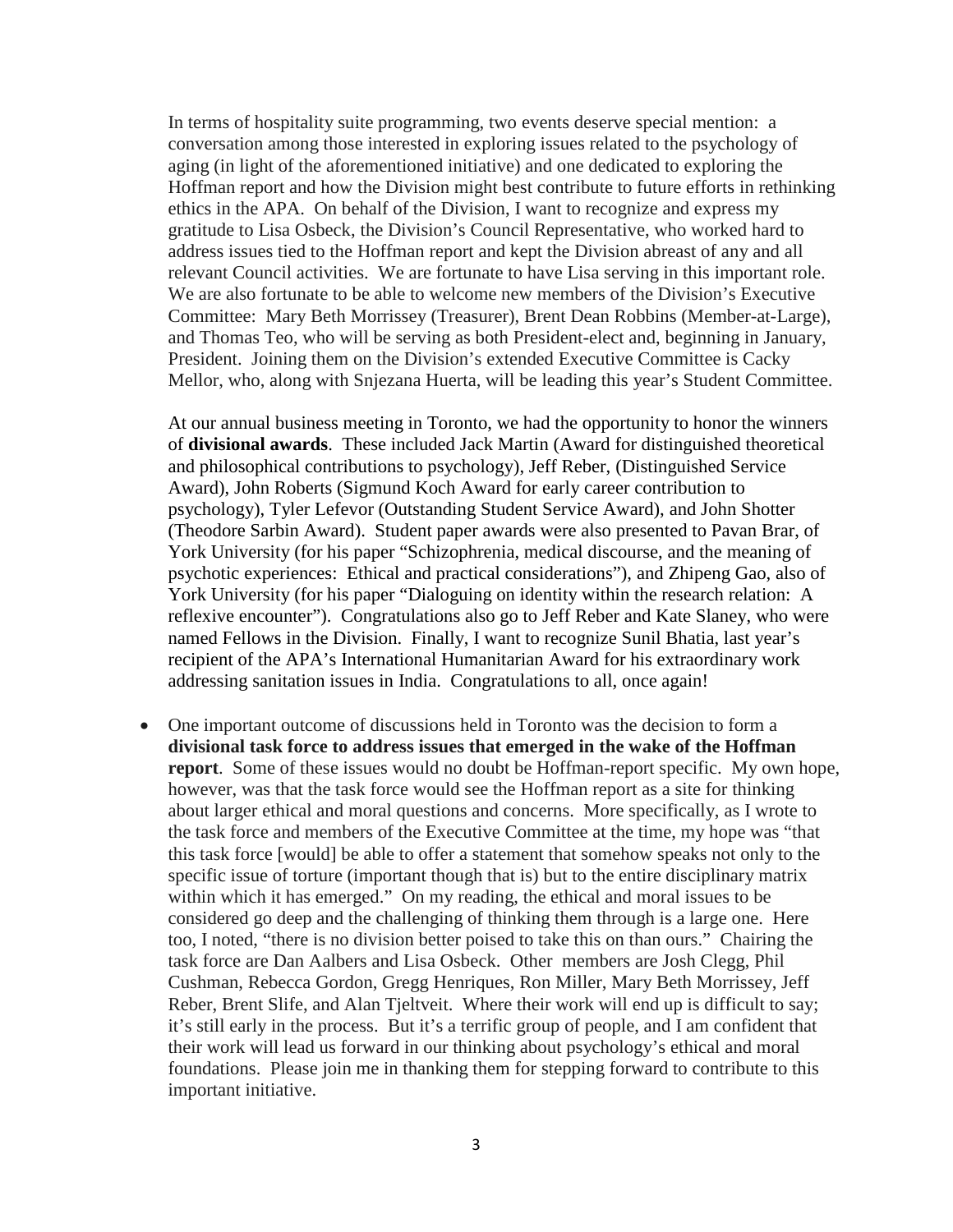In terms of hospitality suite programming, two events deserve special mention: a conversation among those interested in exploring issues related to the psychology of aging (in light of the aforementioned initiative) and one dedicated to exploring the Hoffman report and how the Division might best contribute to future efforts in rethinking ethics in the APA. On behalf of the Division, I want to recognize and express my gratitude to Lisa Osbeck, the Division's Council Representative, who worked hard to address issues tied to the Hoffman report and kept the Division abreast of any and all relevant Council activities. We are fortunate to have Lisa serving in this important role. We are also fortunate to be able to welcome new members of the Division's Executive Committee: Mary Beth Morrissey (Treasurer), Brent Dean Robbins (Member-at-Large), and Thomas Teo, who will be serving as both President-elect and, beginning in January, President. Joining them on the Division's extended Executive Committee is Cacky Mellor, who, along with Snjezana Huerta, will be leading this year's Student Committee.

At our annual business meeting in Toronto, we had the opportunity to honor the winners of **divisional awards**. These included Jack Martin (Award for distinguished theoretical and philosophical contributions to psychology), Jeff Reber, (Distinguished Service Award), John Roberts (Sigmund Koch Award for early career contribution to psychology), Tyler Lefevor (Outstanding Student Service Award), and John Shotter (Theodore Sarbin Award). Student paper awards were also presented to Pavan Brar, of York University (for his paper "Schizophrenia, medical discourse, and the meaning of psychotic experiences: Ethical and practical considerations"), and Zhipeng Gao, also of York University (for his paper "Dialoguing on identity within the research relation: A reflexive encounter"). Congratulations also go to Jeff Reber and Kate Slaney, who were named Fellows in the Division. Finally, I want to recognize Sunil Bhatia, last year's recipient of the APA's International Humanitarian Award for his extraordinary work addressing sanitation issues in India. Congratulations to all, once again!

• One important outcome of discussions held in Toronto was the decision to form a **divisional task force to address issues that emerged in the wake of the Hoffman report**. Some of these issues would no doubt be Hoffman-report specific. My own hope, however, was that the task force would see the Hoffman report as a site for thinking about larger ethical and moral questions and concerns. More specifically, as I wrote to the task force and members of the Executive Committee at the time, my hope was "that this task force [would] be able to offer a statement that somehow speaks not only to the specific issue of torture (important though that is) but to the entire disciplinary matrix within which it has emerged." On my reading, the ethical and moral issues to be considered go deep and the challenging of thinking them through is a large one. Here too, I noted, "there is no division better poised to take this on than ours." Chairing the task force are Dan Aalbers and Lisa Osbeck. Other members are Josh Clegg, Phil Cushman, Rebecca Gordon, Gregg Henriques, Ron Miller, Mary Beth Morrissey, Jeff Reber, Brent Slife, and Alan Tjeltveit. Where their work will end up is difficult to say; it's still early in the process. But it's a terrific group of people, and I am confident that their work will lead us forward in our thinking about psychology's ethical and moral foundations. Please join me in thanking them for stepping forward to contribute to this important initiative.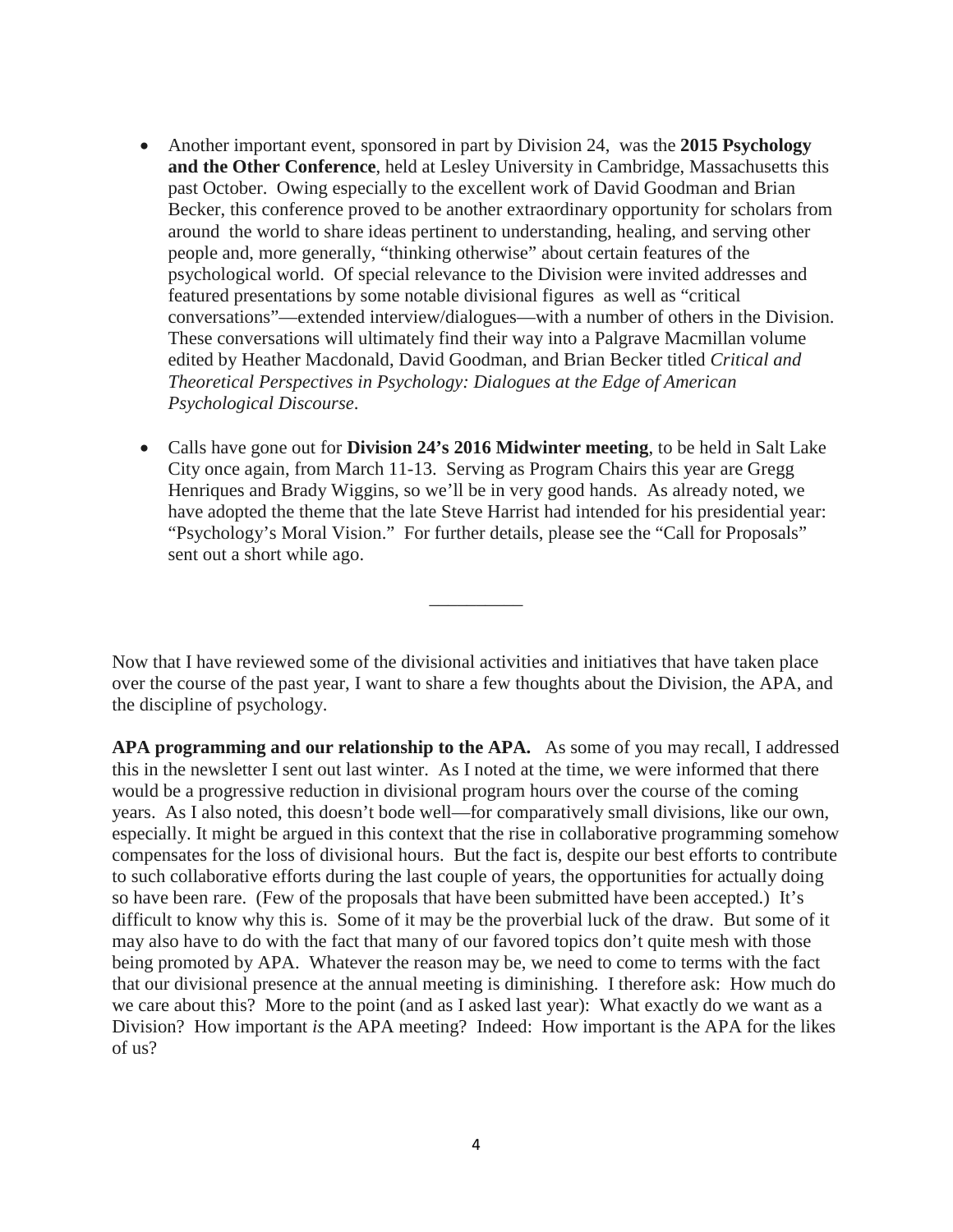- Another important event, sponsored in part by Division 24, was the **2015 Psychology and the Other Conference**, held at Lesley University in Cambridge, Massachusetts this past October. Owing especially to the excellent work of David Goodman and Brian Becker, this conference proved to be another extraordinary opportunity for scholars from around the world to share ideas pertinent to understanding, healing, and serving other people and, more generally, "thinking otherwise" about certain features of the psychological world. Of special relevance to the Division were invited addresses and featured presentations by some notable divisional figures as well as "critical conversations"—extended interview/dialogues—with a number of others in the Division. These conversations will ultimately find their way into a Palgrave Macmillan volume edited by Heather Macdonald, David Goodman, and Brian Becker titled *Critical and Theoretical Perspectives in Psychology: Dialogues at the Edge of American Psychological Discourse*.
- Calls have gone out for **Division 24's 2016 Midwinter meeting**, to be held in Salt Lake City once again, from March 11-13. Serving as Program Chairs this year are Gregg Henriques and Brady Wiggins, so we'll be in very good hands. As already noted, we have adopted the theme that the late Steve Harrist had intended for his presidential year: "Psychology's Moral Vision." For further details, please see the "Call for Proposals" sent out a short while ago.

Now that I have reviewed some of the divisional activities and initiatives that have taken place over the course of the past year, I want to share a few thoughts about the Division, the APA, and the discipline of psychology.

\_\_\_\_\_\_\_\_\_\_

**APA programming and our relationship to the APA.** As some of you may recall, I addressed this in the newsletter I sent out last winter. As I noted at the time, we were informed that there would be a progressive reduction in divisional program hours over the course of the coming years. As I also noted, this doesn't bode well—for comparatively small divisions, like our own, especially. It might be argued in this context that the rise in collaborative programming somehow compensates for the loss of divisional hours. But the fact is, despite our best efforts to contribute to such collaborative efforts during the last couple of years, the opportunities for actually doing so have been rare. (Few of the proposals that have been submitted have been accepted.) It's difficult to know why this is. Some of it may be the proverbial luck of the draw. But some of it may also have to do with the fact that many of our favored topics don't quite mesh with those being promoted by APA. Whatever the reason may be, we need to come to terms with the fact that our divisional presence at the annual meeting is diminishing. I therefore ask: How much do we care about this? More to the point (and as I asked last year): What exactly do we want as a Division? How important *is* the APA meeting? Indeed: How important is the APA for the likes of us?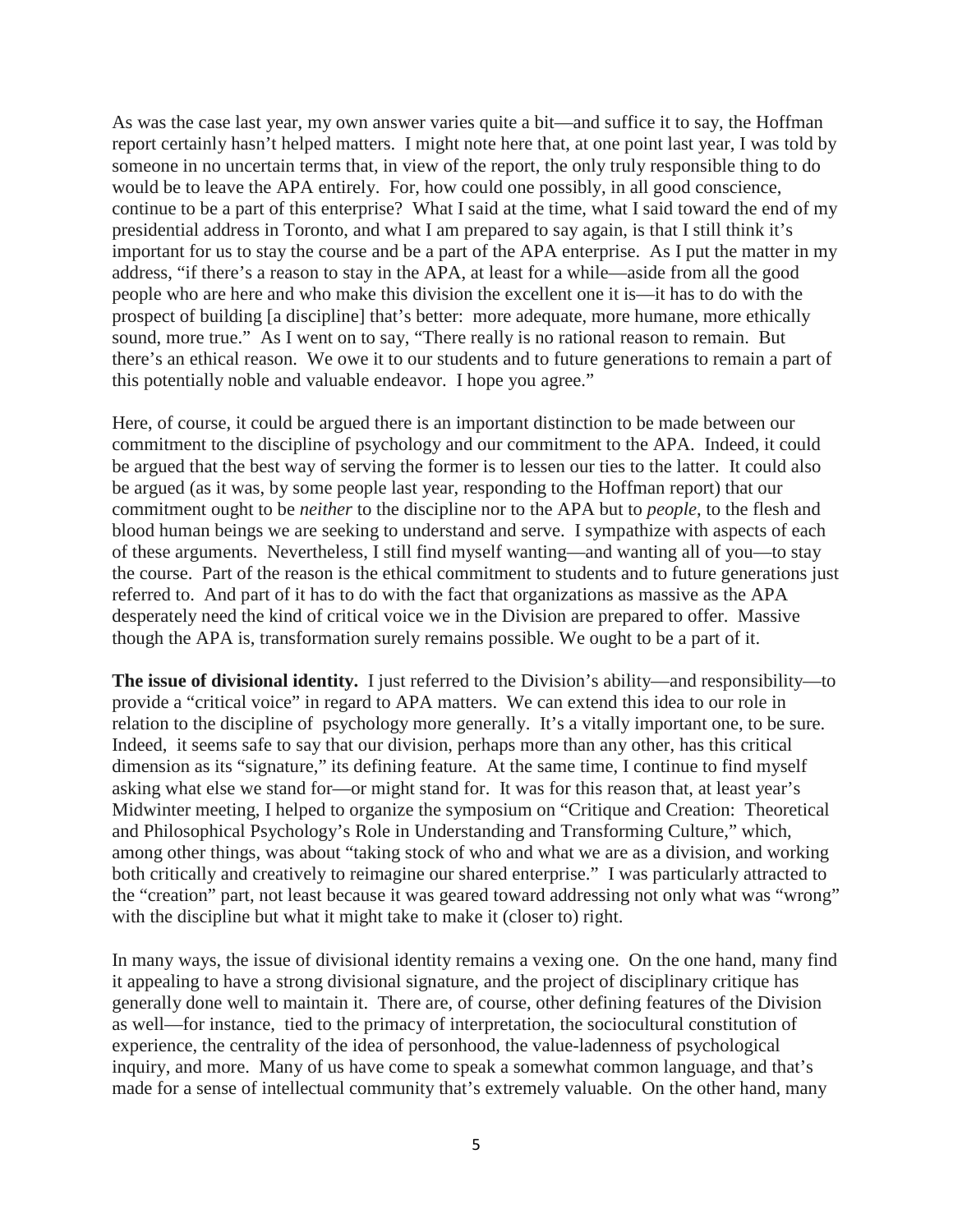As was the case last year, my own answer varies quite a bit—and suffice it to say, the Hoffman report certainly hasn't helped matters. I might note here that, at one point last year, I was told by someone in no uncertain terms that, in view of the report, the only truly responsible thing to do would be to leave the APA entirely. For, how could one possibly, in all good conscience, continue to be a part of this enterprise? What I said at the time, what I said toward the end of my presidential address in Toronto, and what I am prepared to say again, is that I still think it's important for us to stay the course and be a part of the APA enterprise. As I put the matter in my address, "if there's a reason to stay in the APA, at least for a while—aside from all the good people who are here and who make this division the excellent one it is—it has to do with the prospect of building [a discipline] that's better: more adequate, more humane, more ethically sound, more true." As I went on to say, "There really is no rational reason to remain. But there's an ethical reason. We owe it to our students and to future generations to remain a part of this potentially noble and valuable endeavor. I hope you agree."

Here, of course, it could be argued there is an important distinction to be made between our commitment to the discipline of psychology and our commitment to the APA. Indeed, it could be argued that the best way of serving the former is to lessen our ties to the latter. It could also be argued (as it was, by some people last year, responding to the Hoffman report) that our commitment ought to be *neither* to the discipline nor to the APA but to *people*, to the flesh and blood human beings we are seeking to understand and serve. I sympathize with aspects of each of these arguments. Nevertheless, I still find myself wanting—and wanting all of you—to stay the course. Part of the reason is the ethical commitment to students and to future generations just referred to. And part of it has to do with the fact that organizations as massive as the APA desperately need the kind of critical voice we in the Division are prepared to offer. Massive though the APA is, transformation surely remains possible. We ought to be a part of it.

**The issue of divisional identity.** I just referred to the Division's ability—and responsibility—to provide a "critical voice" in regard to APA matters. We can extend this idea to our role in relation to the discipline of psychology more generally. It's a vitally important one, to be sure. Indeed, it seems safe to say that our division, perhaps more than any other, has this critical dimension as its "signature," its defining feature. At the same time, I continue to find myself asking what else we stand for—or might stand for. It was for this reason that, at least year's Midwinter meeting, I helped to organize the symposium on "Critique and Creation: Theoretical and Philosophical Psychology's Role in Understanding and Transforming Culture," which, among other things, was about "taking stock of who and what we are as a division, and working both critically and creatively to reimagine our shared enterprise." I was particularly attracted to the "creation" part, not least because it was geared toward addressing not only what was "wrong" with the discipline but what it might take to make it (closer to) right.

In many ways, the issue of divisional identity remains a vexing one. On the one hand, many find it appealing to have a strong divisional signature, and the project of disciplinary critique has generally done well to maintain it. There are, of course, other defining features of the Division as well—for instance, tied to the primacy of interpretation, the sociocultural constitution of experience, the centrality of the idea of personhood, the value-ladenness of psychological inquiry, and more. Many of us have come to speak a somewhat common language, and that's made for a sense of intellectual community that's extremely valuable. On the other hand, many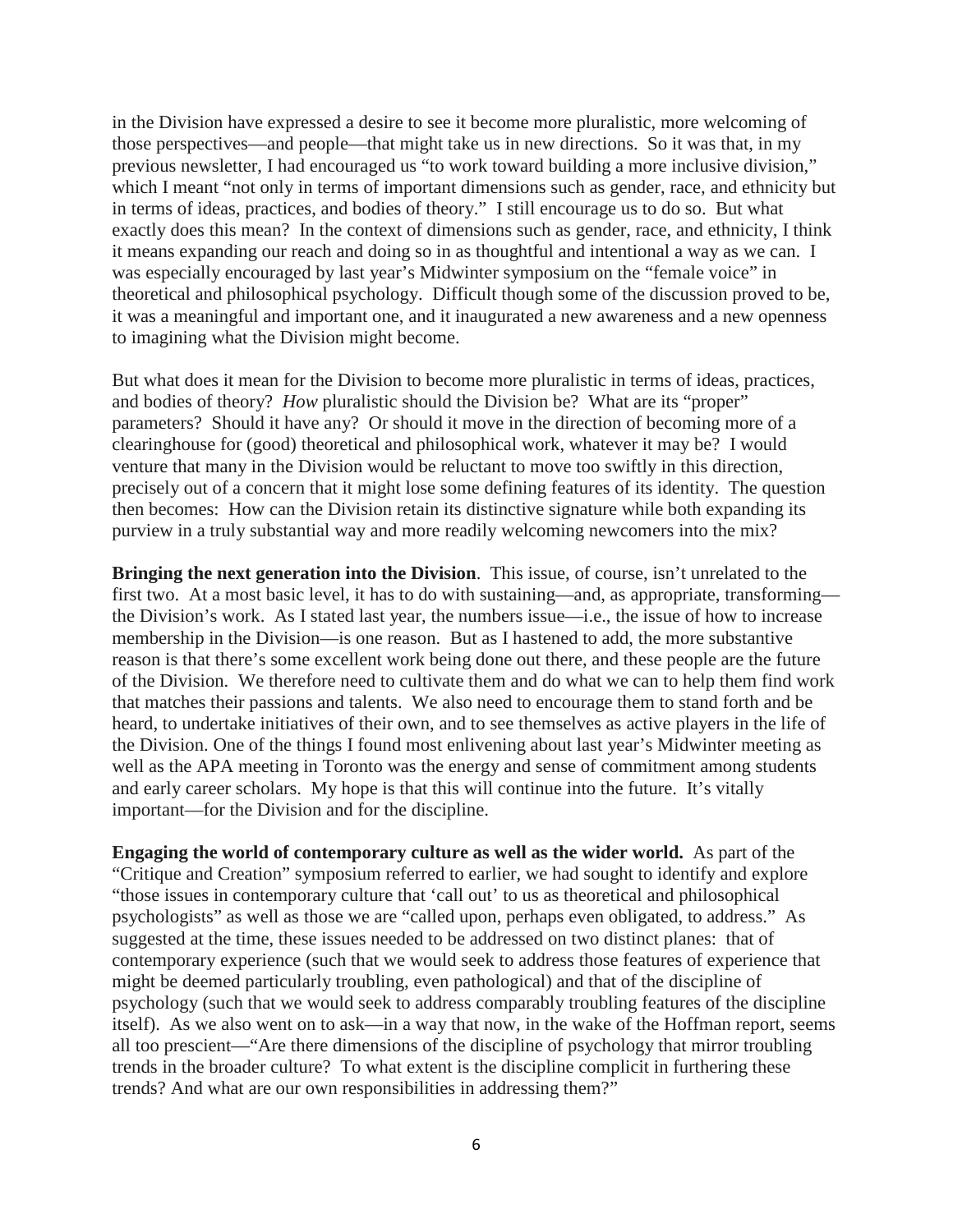in the Division have expressed a desire to see it become more pluralistic, more welcoming of those perspectives—and people—that might take us in new directions. So it was that, in my previous newsletter, I had encouraged us "to work toward building a more inclusive division," which I meant "not only in terms of important dimensions such as gender, race, and ethnicity but in terms of ideas, practices, and bodies of theory." I still encourage us to do so. But what exactly does this mean? In the context of dimensions such as gender, race, and ethnicity, I think it means expanding our reach and doing so in as thoughtful and intentional a way as we can. I was especially encouraged by last year's Midwinter symposium on the "female voice" in theoretical and philosophical psychology. Difficult though some of the discussion proved to be, it was a meaningful and important one, and it inaugurated a new awareness and a new openness to imagining what the Division might become.

But what does it mean for the Division to become more pluralistic in terms of ideas, practices, and bodies of theory? *How* pluralistic should the Division be? What are its "proper" parameters? Should it have any? Or should it move in the direction of becoming more of a clearinghouse for (good) theoretical and philosophical work, whatever it may be? I would venture that many in the Division would be reluctant to move too swiftly in this direction, precisely out of a concern that it might lose some defining features of its identity. The question then becomes: How can the Division retain its distinctive signature while both expanding its purview in a truly substantial way and more readily welcoming newcomers into the mix?

**Bringing the next generation into the Division**. This issue, of course, isn't unrelated to the first two. At a most basic level, it has to do with sustaining—and, as appropriate, transforming the Division's work. As I stated last year, the numbers issue—i.e., the issue of how to increase membership in the Division—is one reason. But as I hastened to add, the more substantive reason is that there's some excellent work being done out there, and these people are the future of the Division. We therefore need to cultivate them and do what we can to help them find work that matches their passions and talents. We also need to encourage them to stand forth and be heard, to undertake initiatives of their own, and to see themselves as active players in the life of the Division. One of the things I found most enlivening about last year's Midwinter meeting as well as the APA meeting in Toronto was the energy and sense of commitment among students and early career scholars. My hope is that this will continue into the future. It's vitally important—for the Division and for the discipline.

**Engaging the world of contemporary culture as well as the wider world.** As part of the "Critique and Creation" symposium referred to earlier, we had sought to identify and explore "those issues in contemporary culture that 'call out' to us as theoretical and philosophical psychologists" as well as those we are "called upon, perhaps even obligated, to address." As suggested at the time, these issues needed to be addressed on two distinct planes: that of contemporary experience (such that we would seek to address those features of experience that might be deemed particularly troubling, even pathological) and that of the discipline of psychology (such that we would seek to address comparably troubling features of the discipline itself). As we also went on to ask—in a way that now, in the wake of the Hoffman report, seems all too prescient—"Are there dimensions of the discipline of psychology that mirror troubling trends in the broader culture? To what extent is the discipline complicit in furthering these trends? And what are our own responsibilities in addressing them?"